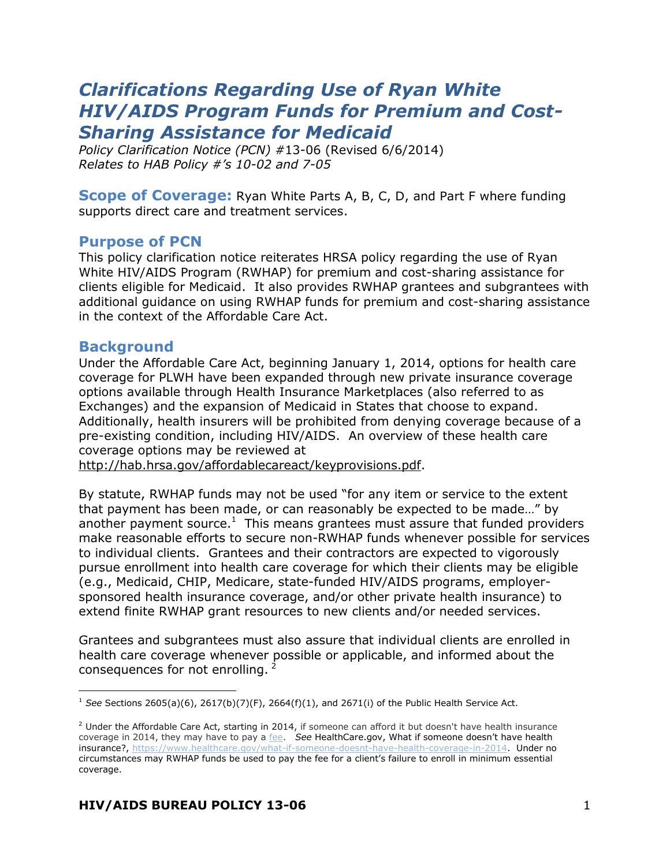# *Clarifications Regarding Use of Ryan White HIV/AIDS Program Funds for Premium and Cost-Sharing Assistance for Medicaid*

*Policy Clarification Notice (PCN) #*13-06 (Revised 6/6/2014) *Relates to HAB Policy #'s 10-02 and 7-05*

**Scope of Coverage:** Ryan White Parts A, B, C, D, and Part F where funding supports direct care and treatment services.

#### **Purpose of PCN**

This policy clarification notice reiterates HRSA policy regarding the use of Ryan White HIV/AIDS Program (RWHAP) for premium and cost-sharing assistance for clients eligible for Medicaid. It also provides RWHAP grantees and subgrantees with additional guidance on using RWHAP funds for premium and cost-sharing assistance in the context of the Affordable Care Act.

#### **Background**

Under the Affordable Care Act, beginning January 1, 2014, options for health care coverage for PLWH have been expanded through new private insurance coverage options available through Health Insurance Marketplaces (also referred to as Exchanges) and the expansion of Medicaid in States that choose to expand. Additionally, health insurers will be prohibited from denying coverage because of a pre-existing condition, including HIV/AIDS. An overview of these health care coverage options may be reviewed at

[http://hab.hrsa.gov/affordablecareact/keyprovisions.pdf.](http://hab.hrsa.gov/affordablecareact/keyprovisions.pdf)

By statute, RWHAP funds may not be used "for any item or service to the extent that payment has been made, or can reasonably be expected to be made…" by another payment source.<sup>1</sup> This means grantees must assure that funded providers make reasonable efforts to secure non-RWHAP funds whenever possible for services to individual clients. Grantees and their contractors are expected to vigorously pursue enrollment into health care coverage for which their clients may be eligible (e.g., Medicaid, CHIP, Medicare, state-funded HIV/AIDS programs, employersponsored health insurance coverage, and/or other private health insurance) to extend finite RWHAP grant resources to new clients and/or needed services.

Grantees and subgrantees must also assure that individual clients are enrolled in health care coverage whenever possible or applicable, and informed about the consequences for not enrolling.

 $\overline{a}$ <sup>1</sup> *See* Sections 2605(a)(6), 2617(b)(7)(F), 2664(f)(1), and 2671(i) of the Public Health Service Act.

 $2$  Under the Affordable Care Act, starting in 2014, if someone can afford it but doesn't have health insurance coverage in 2014, they may have to pay a [fee.](https://www.healthcare.gov/glossary/fee) *See* HealthCare.gov, What if someone doesn't have health insurance?, [https://www.healthcare.gov/what-if-someone-doesnt-have-health-coverage-in-2014.](https://www.healthcare.gov/what-if-someone-doesnt-have-health-coverage-in-2014) Under no circumstances may RWHAP funds be used to pay the fee for a client's failure to enroll in minimum essential coverage.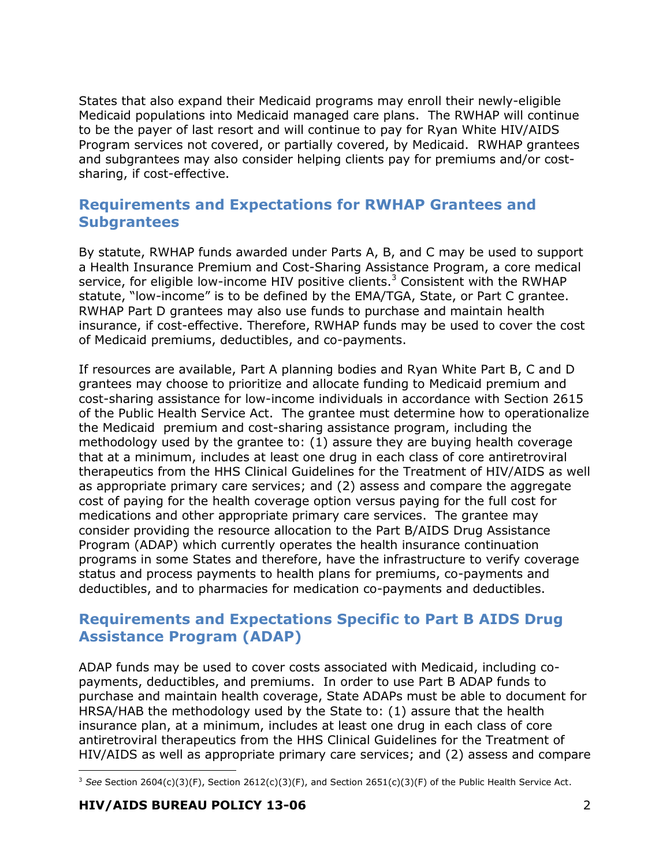States that also expand their Medicaid programs may enroll their newly-eligible Medicaid populations into Medicaid managed care plans. The RWHAP will continue to be the payer of last resort and will continue to pay for Ryan White HIV/AIDS Program services not covered, or partially covered, by Medicaid. RWHAP grantees and subgrantees may also consider helping clients pay for premiums and/or costsharing, if cost-effective.

### **Requirements and Expectations for RWHAP Grantees and Subgrantees**

By statute, RWHAP funds awarded under Parts A, B, and C may be used to support a Health Insurance Premium and Cost-Sharing Assistance Program, a core medical service, for eligible low-income HIV positive clients.<sup>3</sup> Consistent with the RWHAP statute, "low-income" is to be defined by the EMA/TGA, State, or Part C grantee. RWHAP Part D grantees may also use funds to purchase and maintain health insurance, if cost-effective. Therefore, RWHAP funds may be used to cover the cost of Medicaid premiums, deductibles, and co-payments.

If resources are available, Part A planning bodies and Ryan White Part B, C and D grantees may choose to prioritize and allocate funding to Medicaid premium and cost-sharing assistance for low-income individuals in accordance with Section 2615 of the Public Health Service Act. The grantee must determine how to operationalize the Medicaid premium and cost-sharing assistance program, including the methodology used by the grantee to: (1) assure they are buying health coverage that at a minimum, includes at least one drug in each class of core antiretroviral therapeutics from the HHS Clinical Guidelines for the Treatment of HIV/AIDS as well as appropriate primary care services; and (2) assess and compare the aggregate cost of paying for the health coverage option versus paying for the full cost for medications and other appropriate primary care services. The grantee may consider providing the resource allocation to the Part B/AIDS Drug Assistance Program (ADAP) which currently operates the health insurance continuation programs in some States and therefore, have the infrastructure to verify coverage status and process payments to health plans for premiums, co-payments and deductibles, and to pharmacies for medication co-payments and deductibles.

## **Requirements and Expectations Specific to Part B AIDS Drug Assistance Program (ADAP)**

ADAP funds may be used to cover costs associated with Medicaid, including copayments, deductibles, and premiums. In order to use Part B ADAP funds to purchase and maintain health coverage, State ADAPs must be able to document for HRSA/HAB the methodology used by the State to: (1) assure that the health insurance plan, at a minimum, includes at least one drug in each class of core antiretroviral therapeutics from the HHS Clinical Guidelines for the Treatment of HIV/AIDS as well as appropriate primary care services; and (2) assess and compare

j <sup>3</sup> See Section 2604(c)(3)(F), Section 2612(c)(3)(F), and Section 2651(c)(3)(F) of the Public Health Service Act.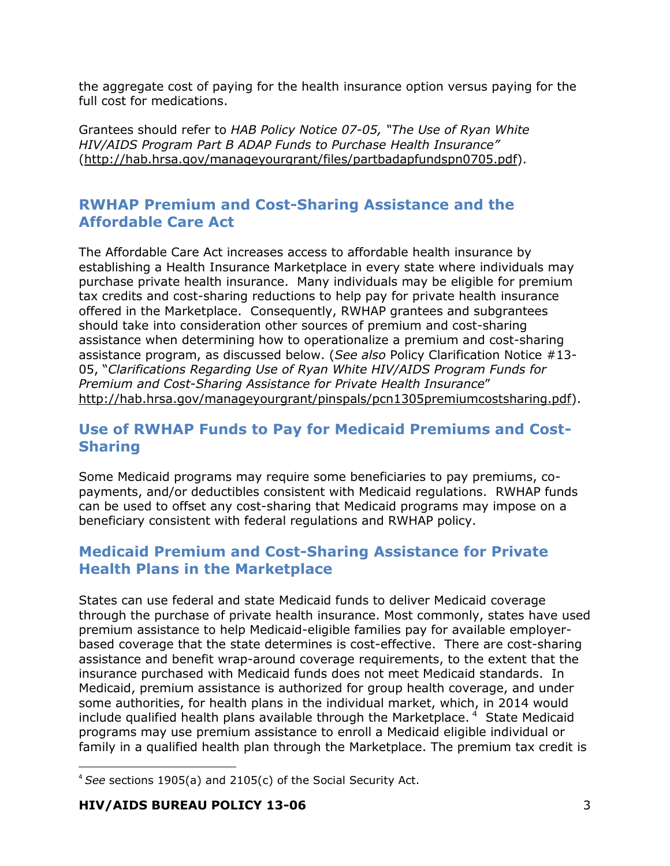the aggregate cost of paying for the health insurance option versus paying for the full cost for medications.

Grantees should refer to *HAB Policy Notice 07-05, "The Use of Ryan White HIV/AIDS Program Part B ADAP Funds to Purchase Health Insurance"* [\(http://hab.hrsa.gov/manageyourgrant/files/partbadapfundspn0705.pdf\)](http://hab.hrsa.gov/manageyourgrant/files/partbadapfundspn0705.pdf).

# **RWHAP Premium and Cost-Sharing Assistance and the Affordable Care Act**

The Affordable Care Act increases access to affordable health insurance by establishing a Health Insurance Marketplace in every state where individuals may purchase private health insurance. Many individuals may be eligible for premium tax credits and cost-sharing reductions to help pay for private health insurance offered in the Marketplace. Consequently, RWHAP grantees and subgrantees should take into consideration other sources of premium and cost-sharing assistance when determining how to operationalize a premium and cost-sharing assistance program, as discussed below. (*See also* Policy Clarification Notice #13- 05, "*Clarifications Regarding Use of Ryan White HIV/AIDS Program Funds for Premium and Cost-Sharing Assistance for Private Health Insurance*" [http://hab.hrsa.gov/manageyourgrant/pinspals/pcn1305premiumcostsharing.pdf\)](http://hab.hrsa.gov/manageyourgrant/pinspals/pcn1305premiumcostsharing.pdf).

# **Use of RWHAP Funds to Pay for Medicaid Premiums and Cost-Sharing**

Some Medicaid programs may require some beneficiaries to pay premiums, copayments, and/or deductibles consistent with Medicaid regulations. RWHAP funds can be used to offset any cost-sharing that Medicaid programs may impose on a beneficiary consistent with federal regulations and RWHAP policy.

# **Medicaid Premium and Cost-Sharing Assistance for Private Health Plans in the Marketplace**

States can use federal and state Medicaid funds to deliver Medicaid coverage through the purchase of private health insurance. Most commonly, states have used premium assistance to help Medicaid-eligible families pay for available employerbased coverage that the state determines is cost-effective. There are cost-sharing assistance and benefit wrap-around coverage requirements, to the extent that the insurance purchased with Medicaid funds does not meet Medicaid standards. In Medicaid, premium assistance is authorized for group health coverage, and under some authorities, for health plans in the individual market, which, in 2014 would include qualified health plans available through the Marketplace.  $4$  State Medicaid programs may use premium assistance to enroll a Medicaid eligible individual or family in a qualified health plan through the Marketplace. The premium tax credit is

-

<sup>4</sup> *See* sections 1905(a) and 2105(c) of the Social Security Act.